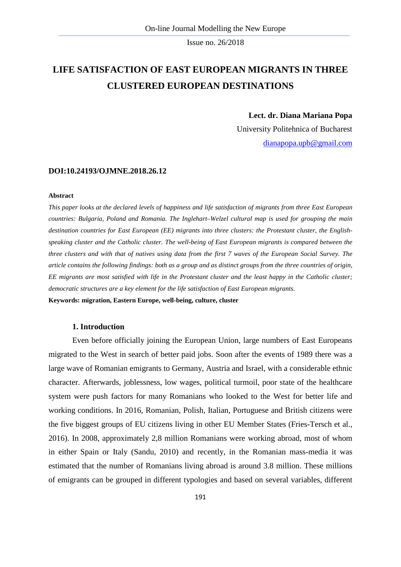# **LIFE SATISFACTION OF EAST EUROPEAN MIGRANTS IN THREE CLUSTERED EUROPEAN DESTINATIONS**

### **Lect. dr. Diana Mariana Popa**

University Politehnica of Bucharest [dianapopa.upb@gmail.com](mailto:dianapopa.upb@gmail.com)

#### **DOI:10.24193/OJMNE.2018.26.12**

#### **Abstract**

*This paper looks at the declared levels of happiness and life satisfaction of migrants from three East European countries: Bulgaria, Poland and Romania. The Inglehart–Welzel cultural map is used for grouping the main destination countries for East European (EE) migrants into three clusters: the Protestant cluster, the Englishspeaking cluster and the Catholic cluster. The well-being of East European migrants is compared between the three clusters and with that of natives using data from the first 7 waves of the European Social Survey. The article contains the following findings: both as a group and as distinct groups from the three countries of origin, EE migrants are most satisfied with life in the Protestant cluster and the least happy in the Catholic cluster; democratic structures are a key element for the life satisfaction of East European migrants.*

**Keywords: migration, Eastern Europe, well-being, culture, cluster**

### **1. Introduction**

Even before officially joining the European Union, large numbers of East Europeans migrated to the West in search of better paid jobs. Soon after the events of 1989 there was a large wave of Romanian emigrants to Germany, Austria and Israel, with a considerable ethnic character. Afterwards, joblessness, low wages, political turmoil, poor state of the healthcare system were push factors for many Romanians who looked to the West for better life and working conditions. In 2016, Romanian, Polish, Italian, Portuguese and British citizens were the five biggest groups of EU citizens living in other EU Member States (Fries-Tersch et al., 2016). In 2008, approximately 2,8 million Romanians were working abroad, most of whom in either Spain or Italy (Sandu, 2010) and recently, in the Romanian mass-media it was estimated that the number of Romanians living abroad is around 3.8 million. These millions of emigrants can be grouped in different typologies and based on several variables, different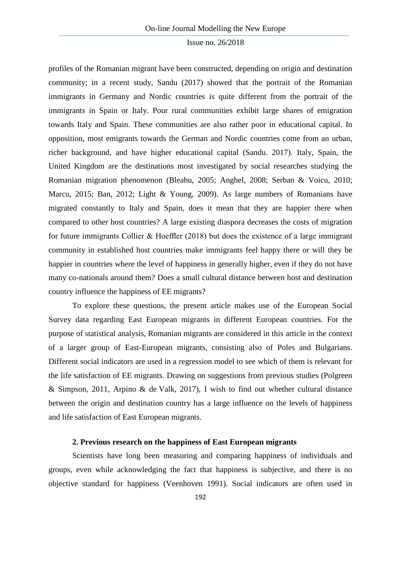profiles of the Romanian migrant have been constructed, depending on origin and destination community; in a recent study, Sandu (2017) showed that the portrait of the Romanian immigrants in Germany and Nordic countries is quite different from the portrait of the immigrants in Spain or Italy. Pour rural communities exhibit large shares of emigration towards Italy and Spain. These communities are also rather poor in educational capital. In opposition, most emigrants towards the German and Nordic countries come from an urban, richer background, and have higher educational capital (Sandu. 2017). Italy, Spain, the United Kingdom are the destinations most investigated by social researches studying the Romanian migration phenomenon (Bleahu, 2005; Anghel, 2008; Serban & Voicu, 2010; Marcu, 2015; Ban, 2012; Light & Young, 2009). As large numbers of Romanians have migrated constantly to Italy and Spain, does it mean that they are happier there when compared to other host countries? A large existing diaspora decreases the costs of migration for future immigrants Collier & Hoeffler (2018) but does the existence of a large immigrant community in established host countries make immigrants feel happy there or will they be happier in countries where the level of happiness in generally higher, even if they do not have many co-nationals around them? Does a small cultural distance between host and destination country influence the happiness of EE migrants?

To explore these questions, the present article makes use of the European Social Survey data regarding East European migrants in different European countries. For the purpose of statistical analysis, Romanian migrants are considered in this article in the context of a larger group of East-European migrants, consisting also of Poles and Bulgarians. Different social indicators are used in a regression model to see which of them is relevant for the life satisfaction of EE migrants. Drawing on suggestions from previous studies (Polgreen & Simpson, 2011, Arpino & de Valk, 2017), I wish to find out whether cultural distance between the origin and destination country has a large influence on the levels of happiness and life satisfaction of East European migrants.

## **2. Previous research on the happiness of East European migrants**

Scientists have long been measuring and comparing happiness of individuals and groups, even while acknowledging the fact that happiness is subjective, and there is no objective standard for happiness (Veenhoven 1991). Social indicators are often used in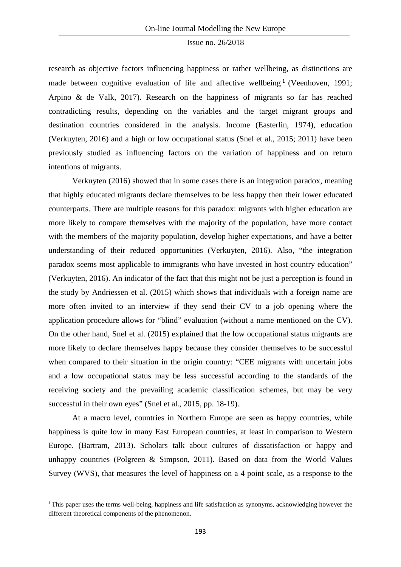research as objective factors influencing happiness or rather wellbeing, as distinctions are made between cognitive evaluation of life and affective wellbeing<sup>[1](#page-2-0)</sup> (Veenhoven, 1991; Arpino & de Valk, 2017). Research on the happiness of migrants so far has reached contradicting results, depending on the variables and the target migrant groups and destination countries considered in the analysis. Income (Easterlin, 1974), education (Verkuyten, 2016) and a high or low occupational status (Snel et al., 2015; 2011) have been previously studied as influencing factors on the variation of happiness and on return intentions of migrants.

Verkuyten (2016) showed that in some cases there is an integration paradox, meaning that highly educated migrants declare themselves to be less happy then their lower educated counterparts. There are multiple reasons for this paradox: migrants with higher education are more likely to compare themselves with the majority of the population, have more contact with the members of the majority population, develop higher expectations, and have a better understanding of their reduced opportunities (Verkuyten, 2016). Also, "the integration paradox seems most applicable to immigrants who have invested in host country education" (Verkuyten, 2016). An indicator of the fact that this might not be just a perception is found in the study by Andriessen et al. (2015) which shows that individuals with a foreign name are more often invited to an interview if they send their CV to a job opening where the application procedure allows for "blind" evaluation (without a name mentioned on the CV). On the other hand, Snel et al. (2015) explained that the low occupational status migrants are more likely to declare themselves happy because they consider themselves to be successful when compared to their situation in the origin country: "CEE migrants with uncertain jobs and a low occupational status may be less successful according to the standards of the receiving society and the prevailing academic classification schemes, but may be very successful in their own eyes" (Snel et al., 2015, pp. 18-19).

At a macro level, countries in Northern Europe are seen as happy countries, while happiness is quite low in many East European countries, at least in comparison to Western Europe. (Bartram, 2013). Scholars talk about cultures of dissatisfaction or happy and unhappy countries (Polgreen & Simpson, 2011). Based on data from the World Values Survey (WVS), that measures the level of happiness on a 4 point scale, as a response to the

 $\overline{a}$ 

<span id="page-2-0"></span><sup>&</sup>lt;sup>1</sup>This paper uses the terms well-being, happiness and life satisfaction as synonyms, acknowledging however the different theoretical components of the phenomenon.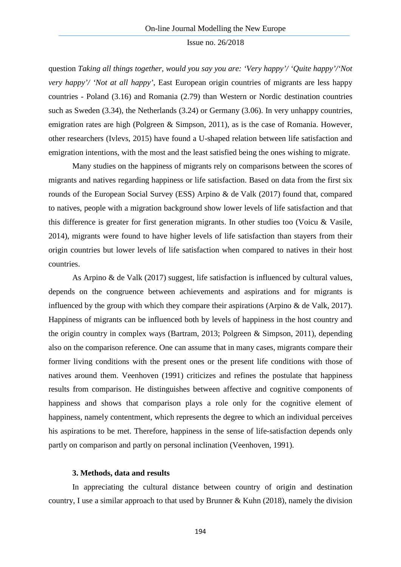question *Taking all things together, would you say you are: 'Very happy'/ 'Quite happy'/'Not very happy'/ 'Not at all happy'*, East European origin countries of migrants are less happy countries - Poland (3.16) and Romania (2.79) than Western or Nordic destination countries such as Sweden (3.34), the Netherlands (3.24) or Germany (3.06). In very unhappy countries, emigration rates are high (Polgreen & Simpson, 2011), as is the case of Romania. However, other researchers (Ivlevs, 2015) have found a U-shaped relation between life satisfaction and emigration intentions, with the most and the least satisfied being the ones wishing to migrate.

Many studies on the happiness of migrants rely on comparisons between the scores of migrants and natives regarding happiness or life satisfaction. Based on data from the first six rounds of the European Social Survey (ESS) Arpino & de Valk (2017) found that, compared to natives, people with a migration background show lower levels of life satisfaction and that this difference is greater for first generation migrants. In other studies too (Voicu & Vasile, 2014), migrants were found to have higher levels of life satisfaction than stayers from their origin countries but lower levels of life satisfaction when compared to natives in their host countries.

As Arpino & de Valk (2017) suggest, life satisfaction is influenced by cultural values, depends on the congruence between achievements and aspirations and for migrants is influenced by the group with which they compare their aspirations (Arpino & de Valk, 2017). Happiness of migrants can be influenced both by levels of happiness in the host country and the origin country in complex ways (Bartram, 2013; Polgreen & Simpson, 2011), depending also on the comparison reference. One can assume that in many cases, migrants compare their former living conditions with the present ones or the present life conditions with those of natives around them. Veenhoven (1991) criticizes and refines the postulate that happiness results from comparison. He distinguishes between affective and cognitive components of happiness and shows that comparison plays a role only for the cognitive element of happiness, namely contentment, which represents the degree to which an individual perceives his aspirations to be met. Therefore, happiness in the sense of life-satisfaction depends only partly on comparison and partly on personal inclination (Veenhoven, 1991).

### **3. Methods, data and results**

In appreciating the cultural distance between country of origin and destination country, I use a similar approach to that used by Brunner & Kuhn (2018), namely the division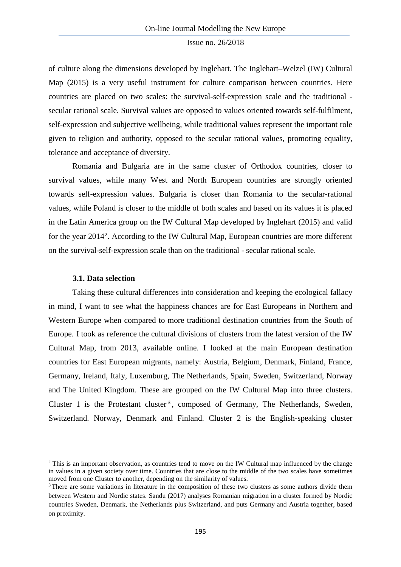of culture along the dimensions developed by Inglehart. The Inglehart–Welzel (IW) Cultural Map (2015) is a very useful instrument for culture comparison between countries. Here countries are placed on two scales: the survival-self-expression scale and the traditional secular rational scale. Survival values are opposed to values oriented towards self-fulfilment, self-expression and subjective wellbeing, while traditional values represent the important role given to religion and authority, opposed to the secular rational values, promoting equality, tolerance and acceptance of diversity.

Romania and Bulgaria are in the same cluster of Orthodox countries, closer to survival values, while many West and North European countries are strongly oriented towards self-expression values. Bulgaria is closer than Romania to the secular-rational values, while Poland is closer to the middle of both scales and based on its values it is placed in the Latin America group on the IW Cultural Map developed by Inglehart (2015) and valid for the year [2](#page-4-0)014<sup>2</sup>. According to the IW Cultural Map, European countries are more different on the survival-self-expression scale than on the traditional - secular rational scale.

### **3.1. Data selection**

**.** 

Taking these cultural differences into consideration and keeping the ecological fallacy in mind, I want to see what the happiness chances are for East Europeans in Northern and Western Europe when compared to more traditional destination countries from the South of Europe. I took as reference the cultural divisions of clusters from the latest version of the IW Cultural Map, from 2013, available online. I looked at the main European destination countries for East European migrants, namely: Austria, Belgium, Denmark, Finland, France, Germany, Ireland, Italy, Luxemburg, The Netherlands, Spain, Sweden, Switzerland, Norway and The United Kingdom. These are grouped on the IW Cultural Map into three clusters. Cluster 1 is the Protestant cluster<sup>[3](#page-4-1)</sup>, composed of Germany, The Netherlands, Sweden, Switzerland. Norway, Denmark and Finland. Cluster 2 is the English-speaking cluster

<span id="page-4-0"></span><sup>&</sup>lt;sup>2</sup> This is an important observation, as countries tend to move on the IW Cultural map influenced by the change in values in a given society over time. Countries that are close to the middle of the two scales have sometimes moved from one Cluster to another, depending on the similarity of values.

<span id="page-4-1"></span><sup>&</sup>lt;sup>3</sup> There are some variations in literature in the composition of these two clusters as some authors divide them between Western and Nordic states. Sandu (2017) analyses Romanian migration in a cluster formed by Nordic countries Sweden, Denmark, the Netherlands plus Switzerland, and puts Germany and Austria together, based on proximity.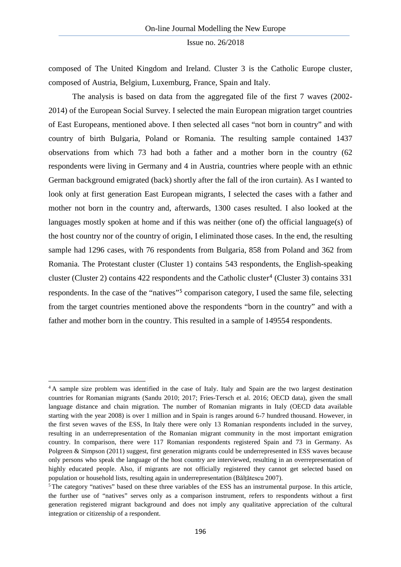composed of The United Kingdom and Ireland. Cluster 3 is the Catholic Europe cluster, composed of Austria, Belgium, Luxemburg, France, Spain and Italy.

The analysis is based on data from the aggregated file of the first 7 waves (2002- 2014) of the European Social Survey. I selected the main European migration target countries of East Europeans, mentioned above. I then selected all cases "not born in country" and with country of birth Bulgaria, Poland or Romania. The resulting sample contained 1437 observations from which 73 had both a father and a mother born in the country (62 respondents were living in Germany and 4 in Austria, countries where people with an ethnic German background emigrated (back) shortly after the fall of the iron curtain). As I wanted to look only at first generation East European migrants, I selected the cases with a father and mother not born in the country and, afterwards, 1300 cases resulted. I also looked at the languages mostly spoken at home and if this was neither (one of) the official language(s) of the host country nor of the country of origin, I eliminated those cases. In the end, the resulting sample had 1296 cases, with 76 respondents from Bulgaria, 858 from Poland and 362 from Romania. The Protestant cluster (Cluster 1) contains 543 respondents, the English-speaking cluster (Cluster 2) contains [4](#page-5-0)22 respondents and the Catholic cluster<sup>4</sup> (Cluster 3) contains 331 respondents. In the case of the "natives"[5](#page-5-1) comparison category, I used the same file, selecting from the target countries mentioned above the respondents "born in the country" and with a father and mother born in the country. This resulted in a sample of 149554 respondents.

 $\overline{a}$ 

<span id="page-5-0"></span><sup>&</sup>lt;sup>4</sup> A sample size problem was identified in the case of Italy. Italy and Spain are the two largest destination countries for Romanian migrants (Sandu 2010; 2017; Fries-Tersch et al. 2016; OECD data), given the small language distance and chain migration. The number of Romanian migrants in Italy (OECD data available starting with the year 2008) is over 1 million and in Spain is ranges around 6-7 hundred thousand. However, in the first seven waves of the ESS, In Italy there were only 13 Romanian respondents included in the survey, resulting in an underrepresentation of the Romanian migrant community in the most important emigration country. In comparison, there were 117 Romanian respondents registered Spain and 73 in Germany. As Polgreen & Simpson (2011) suggest, first generation migrants could be underrepresented in ESS waves because only persons who speak the language of the host country are interviewed, resulting in an overrepresentation of highly educated people. Also, if migrants are not officially registered they cannot get selected based on population or household lists, resulting again in underrepresentation (Bălțătescu 2007).

<span id="page-5-1"></span><sup>&</sup>lt;sup>5</sup>The category "natives" based on these three variables of the ESS has an instrumental purpose. In this article, the further use of "natives" serves only as a comparison instrument, refers to respondents without a first generation registered migrant background and does not imply any qualitative appreciation of the cultural integration or citizenship of a respondent.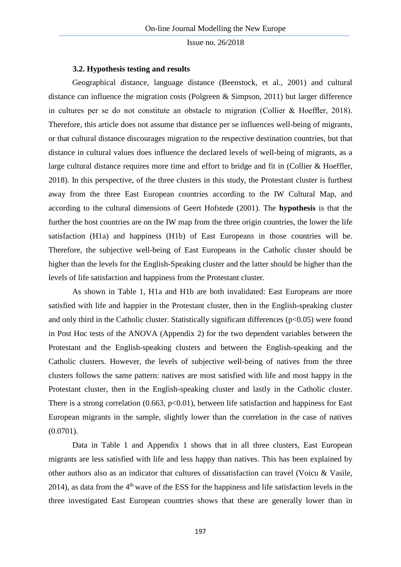### **3.2. Hypothesis testing and results**

Geographical distance, language distance (Beenstock, et al., 2001) and cultural distance can influence the migration costs (Polgreen & Simpson, 2011) but larger difference in cultures per se do not constitute an obstacle to migration (Collier & Hoeffler, 2018). Therefore, this article does not assume that distance per se influences well-being of migrants, or that cultural distance discourages migration to the respective destination countries, but that distance in cultural values does influence the declared levels of well-being of migrants, as a large cultural distance requires more time and effort to bridge and fit in (Collier & Hoeffler, 2018). In this perspective, of the three clusters in this study, the Protestant cluster is furthest away from the three East European countries according to the IW Cultural Map, and according to the cultural dimensions of Geert Hofstede (2001). The **hypothesis** is that the further the host countries are on the IW map from the three origin countries, the lower the life satisfaction (H1a) and happiness (H1b) of East Europeans in those countries will be. Therefore, the subjective well-being of East Europeans in the Catholic cluster should be higher than the levels for the English-Speaking cluster and the latter should be higher than the levels of life satisfaction and happiness from the Protestant cluster.

As shown in Table 1, H1a and H1b are both invalidated: East Europeans are more satisfied with life and happier in the Protestant cluster, then in the English-speaking cluster and only third in the Catholic cluster. Statistically significant differences ( $p<0.05$ ) were found in Post Hoc tests of the ANOVA (Appendix 2) for the two dependent variables between the Protestant and the English-speaking clusters and between the English-speaking and the Catholic clusters. However, the levels of subjective well-being of natives from the three clusters follows the same pattern: natives are most satisfied with life and most happy in the Protestant cluster, then in the English-speaking cluster and lastly in the Catholic cluster. There is a strong correlation  $(0.663, p<0.01)$ , between life satisfaction and happiness for East European migrants in the sample, slightly lower than the correlation in the case of natives  $(0.0701)$ .

Data in Table 1 and Appendix 1 shows that in all three clusters, East European migrants are less satisfied with life and less happy than natives. This has been explained by other authors also as an indicator that cultures of dissatisfaction can travel (Voicu & Vasile, 2014), as data from the  $4<sup>th</sup>$  wave of the ESS for the happiness and life satisfaction levels in the three investigated East European countries shows that these are generally lower than in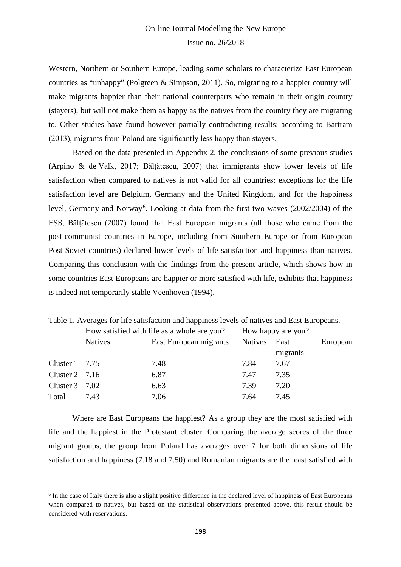Western, Northern or Southern Europe, leading some scholars to characterize East European countries as "unhappy" (Polgreen & Simpson, 2011). So, migrating to a happier country will make migrants happier than their national counterparts who remain in their origin country (stayers), but will not make them as happy as the natives from the country they are migrating to. Other studies have found however partially contradicting results: according to Bartram (2013), migrants from Poland are significantly less happy than stayers.

Based on the data presented in Appendix 2, the conclusions of some previous studies (Arpino & de Valk, 2017; Bălțătescu, 2007) that immigrants show lower levels of life satisfaction when compared to natives is not valid for all countries; exceptions for the life satisfaction level are Belgium, Germany and the United Kingdom, and for the happiness level, Germany and Norway<sup>[6](#page-7-0)</sup>. Looking at data from the first two waves (2002/2004) of the ESS, Bălțătescu (2007) found that East European migrants (all those who came from the post-communist countries in Europe, including from Southern Europe or from European Post-Soviet countries) declared lower levels of life satisfaction and happiness than natives. Comparing this conclusion with the findings from the present article, which shows how in some countries East Europeans are happier or more satisfied with life, exhibits that happiness is indeed not temporarily stable Veenhoven (1994).

|                        |                | Trow sausfied with fire as a whole are you? |         | THOW Happy are you! |          |
|------------------------|----------------|---------------------------------------------|---------|---------------------|----------|
|                        | <b>Natives</b> | East European migrants                      | Natives | East                | European |
|                        |                |                                             |         | migrants            |          |
| Cluster $1 \quad 7.75$ |                | 7.48                                        | 7.84    | 7.67                |          |
| Cluster $2 \quad 7.16$ |                | 6.87                                        | 7.47    | 7.35                |          |
| Cluster $3 \quad 7.02$ |                | 6.63                                        | 7.39    | 7.20                |          |
| Total                  | 7.43           | 7.06                                        | 7.64    | 7.45                |          |

Table 1. Averages for life satisfaction and happiness levels of natives and East Europeans. How satisfied with life as a whole are you? How happy are you?

Where are East Europeans the happiest? As a group they are the most satisfied with life and the happiest in the Protestant cluster. Comparing the average scores of the three migrant groups, the group from Poland has averages over 7 for both dimensions of life satisfaction and happiness (7.18 and 7.50) and Romanian migrants are the least satisfied with

**.** 

<span id="page-7-0"></span><sup>6</sup> In the case of Italy there is also a slight positive difference in the declared level of happiness of East Europeans when compared to natives, but based on the statistical observations presented above, this result should be considered with reservations.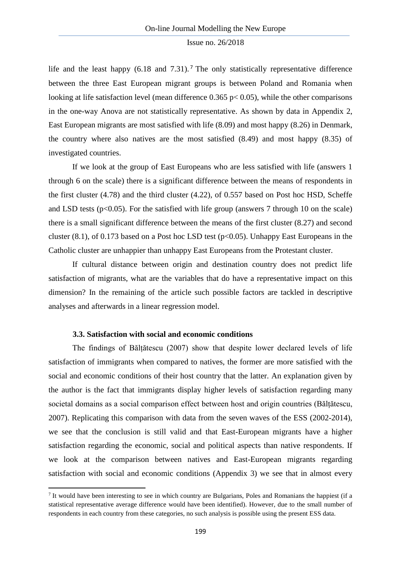life and the least happy  $(6.18 \text{ and } 7.31)$  $(6.18 \text{ and } 7.31)$  $(6.18 \text{ and } 7.31)$ . The only statistically representative difference between the three East European migrant groups is between Poland and Romania when looking at life satisfaction level (mean difference  $0.365$  p $< 0.05$ ), while the other comparisons in the one-way Anova are not statistically representative. As shown by data in Appendix 2, East European migrants are most satisfied with life (8.09) and most happy (8.26) in Denmark, the country where also natives are the most satisfied (8.49) and most happy (8.35) of investigated countries.

If we look at the group of East Europeans who are less satisfied with life (answers 1 through 6 on the scale) there is a significant difference between the means of respondents in the first cluster (4.78) and the third cluster (4.22), of 0.557 based on Post hoc HSD, Scheffe and LSD tests ( $p<0.05$ ). For the satisfied with life group (answers 7 through 10 on the scale) there is a small significant difference between the means of the first cluster (8.27) and second cluster (8.1), of 0.173 based on a Post hoc LSD test ( $p<0.05$ ). Unhappy East Europeans in the Catholic cluster are unhappier than unhappy East Europeans from the Protestant cluster.

If cultural distance between origin and destination country does not predict life satisfaction of migrants, what are the variables that do have a representative impact on this dimension? In the remaining of the article such possible factors are tackled in descriptive analyses and afterwards in a linear regression model.

### **3.3. Satisfaction with social and economic conditions**

**.** 

The findings of Bălțătescu (2007) show that despite lower declared levels of life satisfaction of immigrants when compared to natives, the former are more satisfied with the social and economic conditions of their host country that the latter. An explanation given by the author is the fact that immigrants display higher levels of satisfaction regarding many societal domains as a social comparison effect between host and origin countries (Bălțătescu, 2007). Replicating this comparison with data from the seven waves of the ESS (2002-2014), we see that the conclusion is still valid and that East-European migrants have a higher satisfaction regarding the economic, social and political aspects than native respondents. If we look at the comparison between natives and East-European migrants regarding satisfaction with social and economic conditions (Appendix 3) we see that in almost every

<span id="page-8-0"></span><sup>7</sup> It would have been interesting to see in which country are Bulgarians, Poles and Romanians the happiest (if a statistical representative average difference would have been identified). However, due to the small number of respondents in each country from these categories, no such analysis is possible using the present ESS data.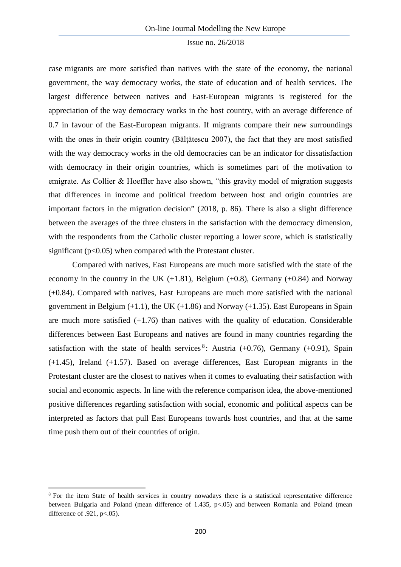case migrants are more satisfied than natives with the state of the economy, the national government, the way democracy works, the state of education and of health services. The largest difference between natives and East-European migrants is registered for the appreciation of the way democracy works in the host country, with an average difference of 0.7 in favour of the East-European migrants. If migrants compare their new surroundings with the ones in their origin country (Băltătescu 2007), the fact that they are most satisfied with the way democracy works in the old democracies can be an indicator for dissatisfaction with democracy in their origin countries, which is sometimes part of the motivation to emigrate. As Collier & Hoeffler have also shown, "this gravity model of migration suggests that differences in income and political freedom between host and origin countries are important factors in the migration decision" (2018, p. 86). There is also a slight difference between the averages of the three clusters in the satisfaction with the democracy dimension, with the respondents from the Catholic cluster reporting a lower score, which is statistically significant ( $p<0.05$ ) when compared with the Protestant cluster.

Compared with natives, East Europeans are much more satisfied with the state of the economy in the country in the UK  $(+1.81)$ , Belgium  $(+0.8)$ , Germany  $(+0.84)$  and Norway (+0.84). Compared with natives, East Europeans are much more satisfied with the national government in Belgium  $(+1.1)$ , the UK  $(+1.86)$  and Norway  $(+1.35)$ . East Europeans in Spain are much more satisfied  $(+1.76)$  than natives with the quality of education. Considerable differences between East Europeans and natives are found in many countries regarding the satisfaction with the state of health services<sup>[8](#page-9-0)</sup>: Austria  $(+0.76)$ , Germany  $(+0.91)$ , Spain (+1.45), Ireland (+1.57). Based on average differences, East European migrants in the Protestant cluster are the closest to natives when it comes to evaluating their satisfaction with social and economic aspects. In line with the reference comparison idea, the above-mentioned positive differences regarding satisfaction with social, economic and political aspects can be interpreted as factors that pull East Europeans towards host countries, and that at the same time push them out of their countries of origin.

**.** 

<span id="page-9-0"></span><sup>&</sup>lt;sup>8</sup> For the item State of health services in country nowadays there is a statistical representative difference between Bulgaria and Poland (mean difference of 1.435, p<.05) and between Romania and Poland (mean difference of  $.921$ , p $< .05$ ).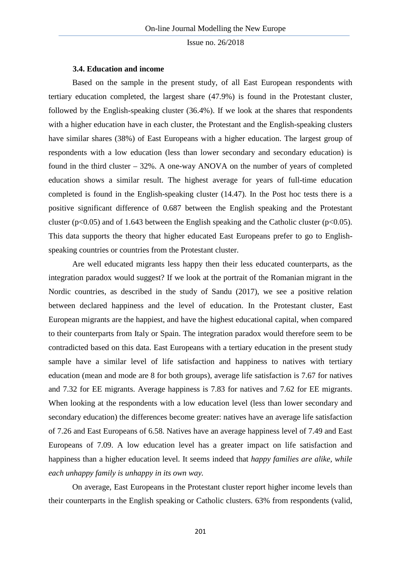### **3.4. Education and income**

Based on the sample in the present study, of all East European respondents with tertiary education completed, the largest share (47.9%) is found in the Protestant cluster, followed by the English-speaking cluster (36.4%). If we look at the shares that respondents with a higher education have in each cluster, the Protestant and the English-speaking clusters have similar shares (38%) of East Europeans with a higher education. The largest group of respondents with a low education (less than lower secondary and secondary education) is found in the third cluster – 32%. A one-way ANOVA on the number of years of completed education shows a similar result. The highest average for years of full-time education completed is found in the English-speaking cluster (14.47). In the Post hoc tests there is a positive significant difference of 0.687 between the English speaking and the Protestant cluster ( $p<0.05$ ) and of 1.643 between the English speaking and the Catholic cluster ( $p<0.05$ ). This data supports the theory that higher educated East Europeans prefer to go to Englishspeaking countries or countries from the Protestant cluster.

Are well educated migrants less happy then their less educated counterparts, as the integration paradox would suggest? If we look at the portrait of the Romanian migrant in the Nordic countries, as described in the study of Sandu (2017), we see a positive relation between declared happiness and the level of education. In the Protestant cluster, East European migrants are the happiest, and have the highest educational capital, when compared to their counterparts from Italy or Spain. The integration paradox would therefore seem to be contradicted based on this data. East Europeans with a tertiary education in the present study sample have a similar level of life satisfaction and happiness to natives with tertiary education (mean and mode are 8 for both groups), average life satisfaction is 7.67 for natives and 7.32 for EE migrants. Average happiness is 7.83 for natives and 7.62 for EE migrants. When looking at the respondents with a low education level (less than lower secondary and secondary education) the differences become greater: natives have an average life satisfaction of 7.26 and East Europeans of 6.58. Natives have an average happiness level of 7.49 and East Europeans of 7.09. A low education level has a greater impact on life satisfaction and happiness than a higher education level. It seems indeed that *happy families are alike, while each unhappy family is unhappy in its own way.*

On average, East Europeans in the Protestant cluster report higher income levels than their counterparts in the English speaking or Catholic clusters. 63% from respondents (valid,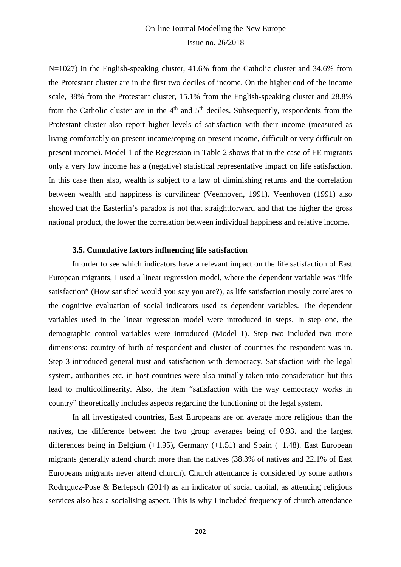N=1027) in the English-speaking cluster, 41.6% from the Catholic cluster and 34.6% from the Protestant cluster are in the first two deciles of income. On the higher end of the income scale, 38% from the Protestant cluster, 15.1% from the English-speaking cluster and 28.8% from the Catholic cluster are in the  $4<sup>th</sup>$  and  $5<sup>th</sup>$  deciles. Subsequently, respondents from the Protestant cluster also report higher levels of satisfaction with their income (measured as living comfortably on present income/coping on present income, difficult or very difficult on present income). Model 1 of the Regression in Table 2 shows that in the case of EE migrants only a very low income has a (negative) statistical representative impact on life satisfaction. In this case then also, wealth is subject to a law of diminishing returns and the correlation between wealth and happiness is curvilinear (Veenhoven, 1991). Veenhoven (1991) also showed that the Easterlin's paradox is not that straightforward and that the higher the gross national product, the lower the correlation between individual happiness and relative income.

## **3.5. Cumulative factors influencing life satisfaction**

In order to see which indicators have a relevant impact on the life satisfaction of East European migrants, I used a linear regression model, where the dependent variable was "life satisfaction" (How satisfied would you say you are?), as life satisfaction mostly correlates to the cognitive evaluation of social indicators used as dependent variables. The dependent variables used in the linear regression model were introduced in steps. In step one, the demographic control variables were introduced (Model 1). Step two included two more dimensions: country of birth of respondent and cluster of countries the respondent was in. Step 3 introduced general trust and satisfaction with democracy. Satisfaction with the legal system, authorities etc. in host countries were also initially taken into consideration but this lead to multicollinearity. Also, the item "satisfaction with the way democracy works in country" theoretically includes aspects regarding the functioning of the legal system.

In all investigated countries, East Europeans are on average more religious than the natives, the difference between the two group averages being of 0.93. and the largest differences being in Belgium (+1.95), Germany (+1.51) and Spain (+1.48). East European migrants generally attend church more than the natives (38.3% of natives and 22.1% of East Europeans migrants never attend church). Church attendance is considered by some authors Rodrıguez-Pose & Berlepsch (2014) as an indicator of social capital, as attending religious services also has a socialising aspect. This is why I included frequency of church attendance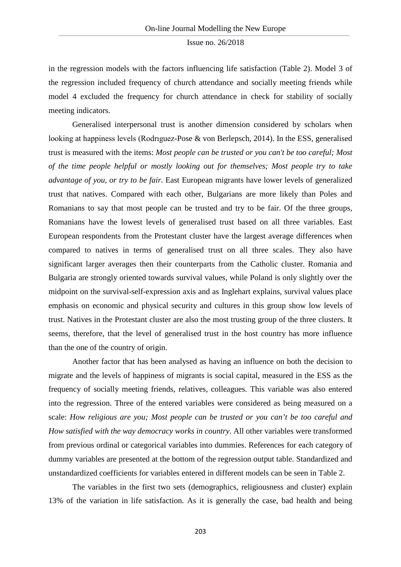in the regression models with the factors influencing life satisfaction (Table 2). Model 3 of the regression included frequency of church attendance and socially meeting friends while model 4 excluded the frequency for church attendance in check for stability of socially meeting indicators.

Generalised interpersonal trust is another dimension considered by scholars when looking at happiness levels (Rodrıguez-Pose & von Berlepsch, 2014). In the ESS, generalised trust is measured with the items: *Most people can be trusted or you can't be too careful; Most of the time people helpful or mostly looking out for themselves; Most people try to take advantage of you, or try to be fair*. East European migrants have lower levels of generalized trust that natives. Compared with each other, Bulgarians are more likely than Poles and Romanians to say that most people can be trusted and try to be fair. Of the three groups, Romanians have the lowest levels of generalised trust based on all three variables. East European respondents from the Protestant cluster have the largest average differences when compared to natives in terms of generalised trust on all three scales. They also have significant larger averages then their counterparts from the Catholic cluster. Romania and Bulgaria are strongly oriented towards survival values, while Poland is only slightly over the midpoint on the survival-self-expression axis and as Inglehart explains, survival values place emphasis on economic and physical security and cultures in this group show low levels of trust. Natives in the Protestant cluster are also the most trusting group of the three clusters. It seems, therefore, that the level of generalised trust in the host country has more influence than the one of the country of origin.

Another factor that has been analysed as having an influence on both the decision to migrate and the levels of happiness of migrants is social capital, measured in the ESS as the frequency of socially meeting friends, relatives, colleagues. This variable was also entered into the regression. Three of the entered variables were considered as being measured on a scale: *How religious are you; Most people can be trusted or you can't be too careful and How satisfied with the way democracy works in country*. All other variables were transformed from previous ordinal or categorical variables into dummies. References for each category of dummy variables are presented at the bottom of the regression output table. Standardized and unstandardized coefficients for variables entered in different models can be seen in Table 2.

The variables in the first two sets (demographics, religiousness and cluster) explain 13% of the variation in life satisfaction. As it is generally the case, bad health and being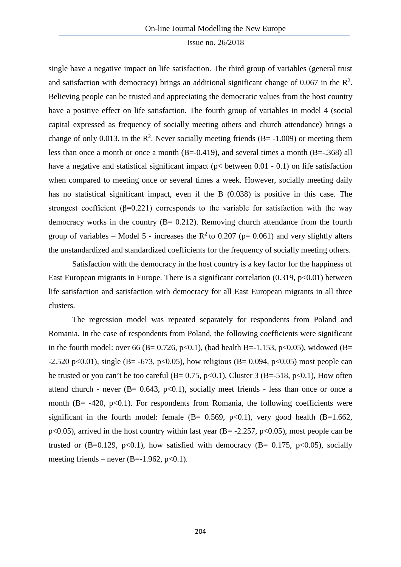single have a negative impact on life satisfaction. The third group of variables (general trust and satisfaction with democracy) brings an additional significant change of 0.067 in the  $\mathbb{R}^2$ . Believing people can be trusted and appreciating the democratic values from the host country have a positive effect on life satisfaction. The fourth group of variables in model 4 (social capital expressed as frequency of socially meeting others and church attendance) brings a change of only 0.013. in the  $\mathbb{R}^2$ . Never socially meeting friends (B= -1.009) or meeting them less than once a month or once a month  $(B=-0.419)$ , and several times a month  $(B=-.368)$  all have a negative and statistical significant impact (p< between 0.01 - 0.1) on life satisfaction when compared to meeting once or several times a week. However, socially meeting daily has no statistical significant impact, even if the B (0.038) is positive in this case. The strongest coefficient ( $\beta$ =0.221) corresponds to the variable for satisfaction with the way democracy works in the country  $(B = 0.212)$ . Removing church attendance from the fourth group of variables – Model 5 - increases the  $R^2$  to 0.207 (p= 0.061) and very slightly alters the unstandardized and standardized coefficients for the frequency of socially meeting others.

Satisfaction with the democracy in the host country is a key factor for the happiness of East European migrants in Europe. There is a significant correlation (0.319, p<0.01) between life satisfaction and satisfaction with democracy for all East European migrants in all three clusters.

The regression model was repeated separately for respondents from Poland and Romania. In the case of respondents from Poland, the following coefficients were significant in the fourth model: over 66 (B= 0.726, p<0.1), (bad health B=-1.153, p<0.05), widowed (B= -2.520 p<0.01), single (B= -673, p<0.05), how religious (B= 0.094, p<0.05) most people can be trusted or you can't be too careful ( $B = 0.75$ ,  $p < 0.1$ ), Cluster 3 ( $B = -518$ ,  $p < 0.1$ ), How often attend church - never  $(B= 0.643, p<0.1)$ , socially meet friends - less than once or once a month  $(B = -420, p<0.1)$ . For respondents from Romania, the following coefficients were significant in the fourth model: female  $(B= 0.569, p<0.1)$ , very good health  $(B=1.662,$ p<0.05), arrived in the host country within last year  $(B = -2.257, p < 0.05)$ , most people can be trusted or (B=0.129, p<0.1), how satisfied with democracy (B= 0.175, p<0.05), socially meeting friends – never  $(B=-1.962, p<0.1)$ .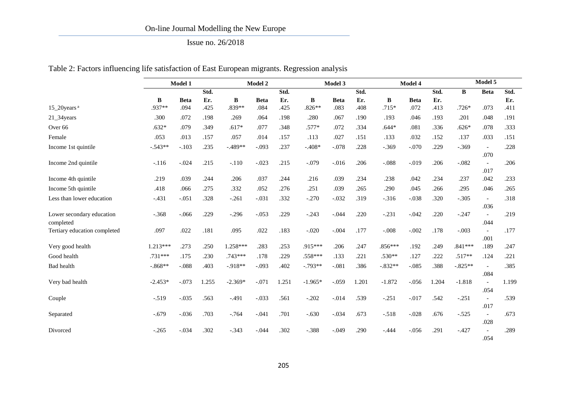# Issue no. 26/2018

Table 2: Factors influencing life satisfaction of East European migrants. Regression analysis

|                                        | Model 1    |             |       | Model 2   |             |       |           | Model 3     |       |           | Model 4     |       |           | Model 5                          |       |  |
|----------------------------------------|------------|-------------|-------|-----------|-------------|-------|-----------|-------------|-------|-----------|-------------|-------|-----------|----------------------------------|-------|--|
|                                        |            |             | Std.  |           |             | Std.  |           |             | Std.  |           |             | Std.  | B         | <b>Beta</b>                      | Std.  |  |
|                                        | B          | <b>Beta</b> | Er.   | B         | <b>Beta</b> | Er.   | B         | <b>Beta</b> | Er.   | B         | <b>Beta</b> | Er.   |           |                                  | Er.   |  |
| $15\_20$ years <sup>a</sup>            | .937**     | .094        | .425  | .839**    | .084        | .425  | $.826**$  | .083        | .408  | $.715*$   | .072        | .413  | $.726*$   | .073                             | .411  |  |
| 21_34years                             | .300       | .072        | .198  | .269      | .064        | .198  | .280      | .067        | .190  | .193      | .046        | .193  | .201      | .048                             | .191  |  |
| Over <sub>66</sub>                     | $.632*$    | .079        | .349  | $.617*$   | .077        | .348  | $.577*$   | .072        | .334  | $.644*$   | .081        | .336  | $.626*$   | .078                             | .333  |  |
| Female                                 | .053       | .013        | .157  | .057      | .014        | .157  | .113      | .027        | .151  | .133      | .032        | .152  | .137      | .033                             | .151  |  |
| Income 1st quintile                    | $-.543**$  | $-.103$     | .235  | $-.489**$ | $-.093$     | .237  | $-.408*$  | $-.078$     | .228  | $-.369$   | $-.070$     | .229  | $-.369$   | $\overline{\phantom{a}}$         | .228  |  |
| Income 2nd quintile                    | $-.116$    | $-.024$     | .215  | $-.110$   | $-.023$     | .215  | $-.079$   | $-0.016$    | .206  | $-.088$   | $-.019$     | .206  | $-.082$   | .070<br>$\sim$<br>.017           | .206  |  |
| Income 4th quintile                    | .219       | .039        | .244  | .206      | .037        | .244  | .216      | .039        | .234  | .238      | .042        | .234  | .237      | .042                             | .233  |  |
| Income 5th quintile                    | .418       | .066        | .275  | .332      | .052        | .276  | .251      | .039        | .265  | .290      | .045        | .266  | .295      | .046                             | .265  |  |
| Less than lower education              | $-.431$    | $-.051$     | .328  | $-.261$   | $-.031$     | .332  | $-.270$   | $-.032$     | .319  | $-.316$   | $-.038$     | .320  | $-.305$   | $\overline{\phantom{a}}$<br>.036 | .318  |  |
| Lower secondary education<br>completed | $-.368$    | $-.066$     | .229  | $-.296$   | $-.053$     | .229  | $-.243$   | $-.044$     | .220  | $-.231$   | $-.042$     | .220  | $-.247$   | .044                             | .219  |  |
| Tertiary education completed           | .097       | .022        | .181  | .095      | .022        | .183  | $-.020$   | $-.004$     | .177  | $-.008$   | $-.002$     | .178  | $-.003$   | $\mathcal{L}$<br>.001            | .177  |  |
| Very good health                       | $1.213***$ | .273        | .250  | 1.258***  | .283        | .253  | .915***   | .206        | .247  | .856***   | .192        | .249  | $.841***$ | .189                             | .247  |  |
| Good health                            | $.731***$  | .175        | .230  | $.743***$ | .178        | .229  | $.558***$ | .133        | .221  | $.530**$  | .127        | .222  | $.517**$  | .124                             | .221  |  |
| Bad health                             | $-.868**$  | $-.088$     | .403  | $-.918**$ | $-.093$     | .402  | $-.793**$ | $-.081$     | .386  | $-.832**$ | $-.085$     | .388  | $-.825**$ | $\overline{a}$<br>.084           | .385  |  |
| Very bad health                        | $-2.453*$  | $-.073$     | 1.255 | $-2.369*$ | $-.071$     | 1.251 | $-1.965*$ | $-.059$     | 1.201 | $-1.872$  | $-.056$     | 1.204 | $-1.818$  | $\blacksquare$<br>.054           | 1.199 |  |
| Couple                                 | $-.519$    | $-.035$     | .563  | $-.491$   | $-.033$     | .561  | $-.202$   | $-.014$     | .539  | $-.251$   | $-.017$     | .542  | $-.251$   | $\blacksquare$<br>.017           | .539  |  |
| Separated                              | $-.679$    | $-.036$     | .703  | $-.764$   | $-.041$     | .701  | $-.630$   | $-.034$     | .673  | $-.518$   | $-.028$     | .676  | $-.525$   | $\sim$<br>.028                   | .673  |  |
| Divorced                               | $-.265$    | $-.034$     | .302  | $-.343$   | $-.044$     | .302  | $-.388$   | $-.049$     | .290  | $-.444$   | $-.056$     | .291  | $-.427$   | .054                             | .289  |  |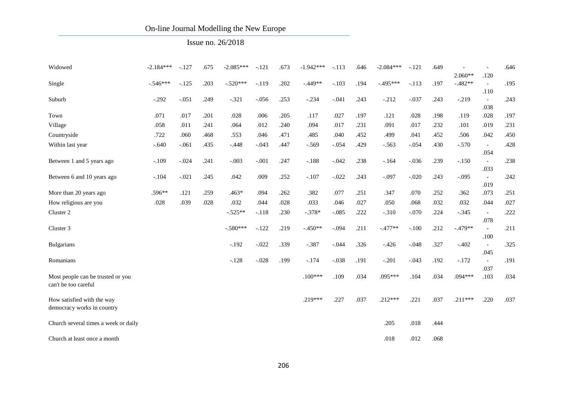# Issue no. 26/2018

| Widowed                                                   | $-2.184***$ | $-.127$ | .675 | $-2.085***$ | $-.121$ | .673 | $-1.942***$ | $-.113$ | .646 | $-2.084***$ | $-.121$ | .649 |                        |                                          | .646 |
|-----------------------------------------------------------|-------------|---------|------|-------------|---------|------|-------------|---------|------|-------------|---------|------|------------------------|------------------------------------------|------|
| Single                                                    | $-.546***$  | $-.125$ | .203 | $-.520***$  | $-.119$ | .202 | $-.449**$   | $-.103$ | .194 | $-495***$   | $-.113$ | .197 | $2.060**$<br>$-.482**$ | .120<br>$\bar{a}$                        | .195 |
| Suburb                                                    | $-.292$     | $-.051$ | .249 | $-.321$     | $-.056$ | .253 | $-.234$     | $-.041$ | .243 | $-.212$     | $-.037$ | .243 | $-.219$                | .110<br>$\overline{\phantom{a}}$         | .243 |
| Town                                                      | .071        | .017    | .201 | .028        | .006    | .205 | .117        | .027    | .197 | .121        | .028    | .198 | .119                   | .038<br>.028                             | .197 |
| Village                                                   | .058        | .011    | .241 | .064        | .012    | .240 | .094        | .017    | .231 | .091        | .017    | .232 | .101                   | .019                                     | .231 |
| Countryside                                               | .722        | .060    | .468 | .553        | .046    | .471 | .485        | .040    | .452 | .499        | .041    | .452 | .506                   | .042                                     | .450 |
| Within last year                                          | $-.640$     | $-.061$ | .435 | $-.448$     | $-.043$ | .447 | $-.569$     | $-.054$ | .429 | $-.563$     | $-.054$ | .430 | $-.570$                | $\blacksquare$                           | .428 |
| Between 1 and 5 years ago                                 | $-.109$     | $-.024$ | .241 | $-.003$     | $-.001$ | .247 | $-.188$     | $-.042$ | .238 | $-164$      | $-.036$ | .239 | $-.150$                | .054<br>$\overline{\phantom{a}}$         | .238 |
| Between 6 and 10 years ago                                | $-.104$     | $-.021$ | .245 | .042        | .009    | .252 | $-.107$     | $-.022$ | .243 | $-.097$     | $-.020$ | .243 | $-.095$                | .033<br>$\overline{\phantom{a}}$<br>.019 | .242 |
| More than 20 years ago                                    | .596**      | .121    | .259 | $.463*$     | .094    | .262 | .382        | .077    | .251 | .347        | .070    | .252 | .362                   | .073                                     | .251 |
| How religious are you                                     | .028        | .039    | .028 | .032        | .044    | .028 | .033        | .046    | .027 | .050        | .068    | .032 | .032                   | .044                                     | .027 |
| Cluster 2                                                 |             |         |      | $-.525**$   | $-.118$ | .230 | $-.378*$    | $-.085$ | .222 | $-.310$     | $-.070$ | .224 | $-.345$                | $\overline{\phantom{a}}$                 | .222 |
| Cluster 3                                                 |             |         |      | $-.580***$  | $-.122$ | .219 | $-.450**$   | $-.094$ | .211 | $-.477**$   | $-.100$ | .212 | $-.479**$              | .078<br>$\overline{a}$                   | .211 |
| <b>Bulgarians</b>                                         |             |         |      | $-.192$     | $-.022$ | .339 | $-.387$     | $-.044$ | .326 | $-.426$     | $-.048$ | .327 | $-.402$                | .100<br>$\overline{\phantom{a}}$<br>.045 | .325 |
| Romanians                                                 |             |         |      | $-.128$     | $-.028$ | .199 | $-.174$     | $-.038$ | .191 | $-.201$     | $-.043$ | .192 | $-.172$                | $\overline{\phantom{a}}$<br>.037         | .191 |
| Most people can be trusted or you<br>can't be too careful |             |         |      |             |         |      | $.100***$   | .109    | .034 | .095***     | .104    | .034 | $.094***$              | .103                                     | .034 |
| How satisfied with the way<br>democracy works in country  |             |         |      |             |         |      | $.219***$   | .227    | .037 | $.212***$   | .221    | .037 | $.211***$              | .220                                     | .037 |
| Church several times a week or daily                      |             |         |      |             |         |      |             |         |      | .205        | .018    | .444 |                        |                                          |      |
| Church at least once a month                              |             |         |      |             |         |      |             |         |      | .018        | .012    | .068 |                        |                                          |      |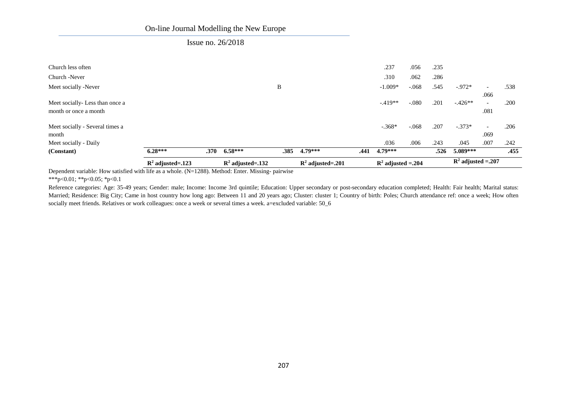## Issue no. 26/2018

|                                 | $R^2$ adjusted=.123 |      | $R^2$ adjusted=.132 |      | $R^2$ adjusted=.201 |      | $R^2$ adjusted = .204 |         |      | $\mathbb{R}^2$ adjusted = .207 |                          |      |
|---------------------------------|---------------------|------|---------------------|------|---------------------|------|-----------------------|---------|------|--------------------------------|--------------------------|------|
| (Constant)                      | $6.28***$           | .370 | $6.58***$           | .385 | $4.79***$           | .441 | $4.79***$             |         | .526 | $5.089***$                     |                          | .455 |
| Meet socially - Daily           |                     |      |                     |      |                     |      | .036                  | .006    | .243 | .045                           | .007                     | .242 |
| month                           |                     |      |                     |      |                     |      |                       |         |      |                                | .069                     |      |
| Meet socially - Several times a |                     |      |                     |      |                     |      | $-.368*$              | $-.068$ | .207 | $-.373*$                       | $\overline{\phantom{0}}$ | .206 |
| month or once a month           |                     |      |                     |      |                     |      |                       |         |      |                                | .081                     |      |
| Meet socially-Less than once a  |                     |      |                     |      |                     |      | $-.419**$             | $-.080$ | .201 | $-426**$                       | $\overline{\phantom{a}}$ | .200 |
|                                 |                     |      |                     |      |                     |      |                       |         |      |                                | .066                     |      |
| Meet socially -Never            |                     |      |                     | B    |                     |      | $-1.009*$             | $-.068$ | .545 | $-0.972*$                      | $\overline{\phantom{0}}$ | .538 |
| Church -Never                   |                     |      |                     |      |                     |      | .310                  | .062    | .286 |                                |                          |      |
| Church less often               |                     |      |                     |      |                     |      | .237                  | .056    | .235 |                                |                          |      |
|                                 |                     |      |                     |      |                     |      |                       |         |      |                                |                          |      |

Dependent variable: How satisfied with life as a whole. (N=1288). Method: Enter. Missing- pairwise

\*\*\*p<0.01; \*\*p<0.05; \*p<0.1

Reference categories: Age: 35-49 years; Gender: male; Income: Income 3rd quintile; Education: Upper secondary or post-secondary education completed; Health: Fair health; Marital status: Married; Residence: Big City; Came in host country how long ago: Between 11 and 20 years ago; Cluster: cluster 1; Country of birth: Poles; Church attendance ref: once a week; How often socially meet friends. Relatives or work colleagues: once a week or several times a week. a=excluded variable: 50\_6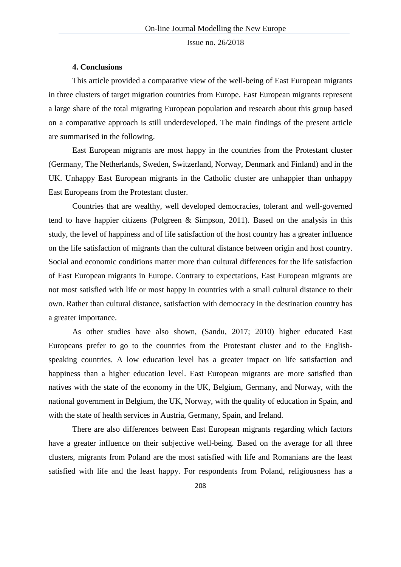### **4. Conclusions**

This article provided a comparative view of the well-being of East European migrants in three clusters of target migration countries from Europe. East European migrants represent a large share of the total migrating European population and research about this group based on a comparative approach is still underdeveloped. The main findings of the present article are summarised in the following.

East European migrants are most happy in the countries from the Protestant cluster (Germany, The Netherlands, Sweden, Switzerland, Norway, Denmark and Finland) and in the UK. Unhappy East European migrants in the Catholic cluster are unhappier than unhappy East Europeans from the Protestant cluster.

Countries that are wealthy, well developed democracies, tolerant and well-governed tend to have happier citizens (Polgreen & Simpson, 2011). Based on the analysis in this study, the level of happiness and of life satisfaction of the host country has a greater influence on the life satisfaction of migrants than the cultural distance between origin and host country. Social and economic conditions matter more than cultural differences for the life satisfaction of East European migrants in Europe. Contrary to expectations, East European migrants are not most satisfied with life or most happy in countries with a small cultural distance to their own. Rather than cultural distance, satisfaction with democracy in the destination country has a greater importance.

As other studies have also shown, (Sandu, 2017; 2010) higher educated East Europeans prefer to go to the countries from the Protestant cluster and to the Englishspeaking countries. A low education level has a greater impact on life satisfaction and happiness than a higher education level. East European migrants are more satisfied than natives with the state of the economy in the UK, Belgium, Germany, and Norway, with the national government in Belgium, the UK, Norway, with the quality of education in Spain, and with the state of health services in Austria, Germany, Spain, and Ireland.

There are also differences between East European migrants regarding which factors have a greater influence on their subjective well-being. Based on the average for all three clusters, migrants from Poland are the most satisfied with life and Romanians are the least satisfied with life and the least happy. For respondents from Poland, religiousness has a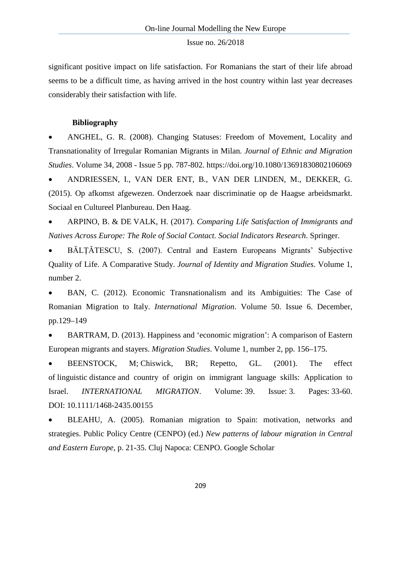significant positive impact on life satisfaction. For Romanians the start of their life abroad seems to be a difficult time, as having arrived in the host country within last year decreases considerably their satisfaction with life.

### **Bibliography**

• ANGHEL, G. R. (2008). Changing Statuses: Freedom of Movement, Locality and Transnationality of Irregular Romanian Migrants in Milan. *Journal of Ethnic and Migration Studies*. Volume 34, 2008 - [Issue 5](http://www.tandfonline.com/toc/cjms20/34/5) pp. 787-802.<https://doi.org/10.1080/13691830802106069>

• ANDRIESSEN, I., VAN DER ENT, B., VAN DER LINDEN, M., DEKKER, G. (2015). Op afkomst afgewezen. Onderzoek naar discriminatie op de Haagse arbeidsmarkt. Sociaal en Cultureel Planbureau. Den Haag.

• ARPINO, B. & DE VALK, H. (2017). *Comparing Life Satisfaction of Immigrants and Natives Across Europe: The Role of Social Contact. Social Indicators Research*. Springer.

• BĂLȚĂTESCU, S. (2007). Central and Eastern Europeans Migrants' Subjective Quality of Life. A Comparative Study. *Journal of Identity and Migration Studies*. Volume 1, number 2.

• BAN, C. (2012). Economic Transnationalism and its Ambiguities: The Case of Romanian Migration to Italy. *International Migration*. Volume 50. Issue 6. December, pp.129–149

• BARTRAM, D. (2013). Happiness and 'economic migration': A comparison of Eastern European migrants and stayers. *Migration Studies*. Volume 1, number 2, pp. 156–175.

• BEENSTOCK, M; Chiswick, BR; Repetto, GL. (2001). The effect of linguistic distance and country of origin on immigrant language skills: Application to Israel. *INTERNATIONAL MIGRATION*. Volume: 39. Issue: 3. Pages: 33-60. DOI: 10.1111/1468-2435.00155

• BLEAHU, A. (2005). Romanian migration to Spain: motivation, networks and strategies. Public Policy Centre (CENPO) (ed.) *New patterns of labour migration in Central and Eastern Europe*, p. 21-35. Cluj Napoca: CENPO. Google Scholar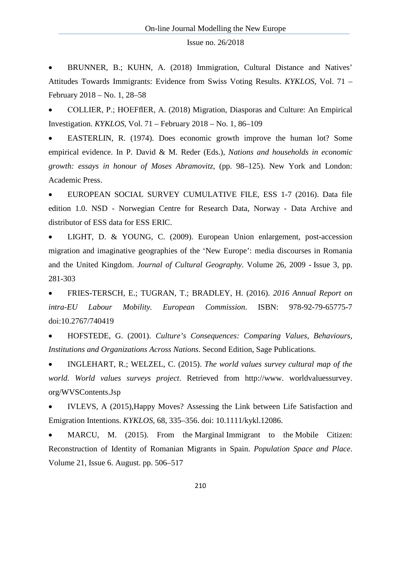• BRUNNER, B.; KUHN, A. (2018) Immigration, Cultural Distance and Natives' Attitudes Towards Immigrants: Evidence from Swiss Voting Results. *KYKLOS*, Vol. 71 – February 2018 – No. 1, 28–58

• COLLIER, P.; HOEFflER, A. (2018) Migration, Diasporas and Culture: An Empirical Investigation. *KYKLOS,* Vol. 71 – February 2018 – No. 1, 86–109

• EASTERLIN, R. (1974). Does economic growth improve the human lot? Some empirical evidence. In P. David & M. Reder (Eds.), *Nations and households in economic growth: essays in honour of Moses Abramovitz*, (pp. 98–125). New York and London: Academic Press.

• EUROPEAN SOCIAL SURVEY CUMULATIVE FILE, ESS 1-7 (2016). Data file edition 1.0. NSD - Norwegian Centre for Research Data, Norway - Data Archive and distributor of ESS data for ESS ERIC.

LIGHT, D. & YOUNG, C. (2009). European Union enlargement, post-accession migration and imaginative geographies of the 'New Europe': media discourses in Romania and the United Kingdom. *Journal of Cultural Geography*. Volume 26, 2009 - [Issue 3,](http://www.tandfonline.com/toc/rjcg20/26/3) pp. 281-303

• FRIES-TERSCH, E.; TUGRAN, T.; BRADLEY, H. (2016). *2016 Annual Report on intra-EU Labour Mobility. European Commission*. ISBN: 978-92-79-65775-7 doi:10.2767/740419

• HOFSTEDE, G. (2001). *Culture's Consequences: Comparing Values, Behaviours, Institutions and Organizations Across Nations*. Second Edition, Sage Publications.

• INGLEHART, R.; WELZEL, C. (2015). *[The world values survey cultural map of the](http://scholar.google.com/scholar?cluster=1367295771032170170&hl=en&oi=scholarr)  [world.](http://scholar.google.com/scholar?cluster=1367295771032170170&hl=en&oi=scholarr) World values surveys project*. Retrieved from http://www. worldvaluessurvey. org/WVSContents.Jsp

• IVLEVS, A (2015),Happy Moves? Assessing the Link between Life Satisfaction and Emigration Intentions. *KYKLOS*, 68, 335–356. doi: 10.1111/kykl.12086.

MARCU, M. (2015). From the Marginal Immigrant to the Mobile Citizen: Reconstruction of Identity of Romanian Migrants in Spain. *Population Space and Place*. Volume 21, Issue 6. August. pp. 506–517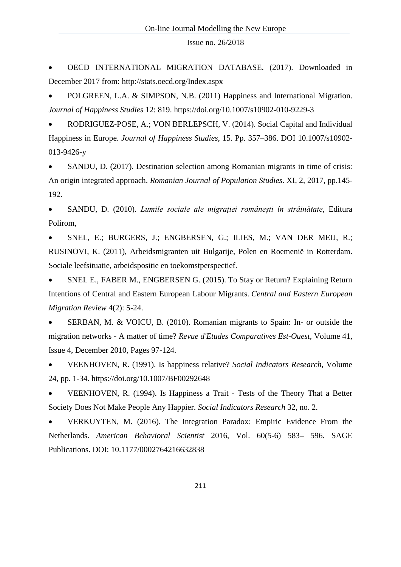• OECD INTERNATIONAL MIGRATION DATABASE. (2017). Downloaded in December 2017 from: http://stats.oecd.org/Index.aspx

• POLGREEN, L.A. & SIMPSON, N.B. (2011) Happiness and International Migration. *Journal of Happiness Studies* 12: 819.<https://doi.org/10.1007/s10902-010-9229-3>

• RODRIGUEZ-POSE, A.; VON BERLEPSCH, V. (2014). Social Capital and Individual Happiness in Europe. *Journal of Happiness Studies*, 15. Pp. 357–386. DOI 10.1007/s10902- 013-9426-y

• SANDU, D. (2017). Destination selection among Romanian migrants in time of crisis: An origin integrated approach. *Romanian Journal of Population Studies*. XI, 2, 2017, pp.145- 192.

• SANDU, D. (2010). *Lumile sociale ale migrației românești în străinătate*, Editura Polirom,

• SNEL, E.; BURGERS, J.; ENGBERSEN, G.; ILIES, M.; VAN DER MEIJ, R.; RUSINOVI, K. (2011), Arbeidsmigranten uit Bulgarije, Polen en Roemenië in Rotterdam. Sociale leefsituatie, arbeidspositie en toekomstperspectief.

• SNEL E., FABER M., ENGBERSEN G. (2015). [To Stay or Return? Explaining Return](http://www.ceemr.uw.edu.pl/content/stay-or-return-explaining-return-intentions-central-and-eastern-european-labour-migrants)  [Intentions of Central and Eastern European Labour Migrants.](http://www.ceemr.uw.edu.pl/content/stay-or-return-explaining-return-intentions-central-and-eastern-european-labour-migrants) *Central and Eastern European Migration Review* 4(2): 5-24.

• SERBAN, M. & VOICU, B. (2010). Romanian migrants to Spain: In- or outside the migration networks - A matter of time? *[Revue d'Etudes Comparatives Est-Ouest,](https://www.scopus.com/sourceid/29449?origin=recordpage)* Volume 41, Issue 4, December 2010, Pages 97-124.

• VEENHOVEN, R. (1991). Is happiness relative? *Social Indicators Research*, Volume 24, pp. 1-34. https://doi.org/10.1007/BF00292648

• VEENHOVEN, R. (1994). Is Happiness a Trait - Tests of the Theory That a Better Society Does Not Make People Any Happier. *Social Indicators Research* 32, no. 2.

• VERKUYTEN, M. (2016). The Integration Paradox: Empiric Evidence From the Netherlands. *American Behavioral Scientist* 2016, Vol. 60(5-6) 583– 596. SAGE Publications. DOI: 10.1177/0002764216632838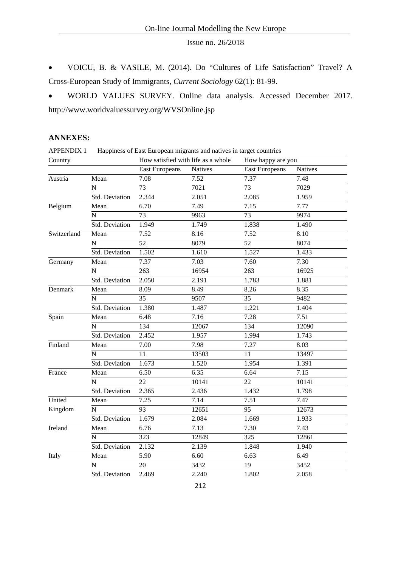• VOICU, B. & VASILE, M. (2014). Do "Cultures of Life Satisfaction" Travel? A Cross-European Study of Immigrants, *Current Sociology* 62(1): 81-99.

• WORLD VALUES SURVEY. Online data analysis. Accessed December 2017. http://www.worldvaluessurvey.org/WVSOnline.jsp

## **ANNEXES:**

| <b>APPENDIX 1</b> | Happiness of East European migrants and natives in target countries |                                    |                |                       |                   |  |  |  |  |
|-------------------|---------------------------------------------------------------------|------------------------------------|----------------|-----------------------|-------------------|--|--|--|--|
| Country           |                                                                     | How satisfied with life as a whole |                | How happy are you     |                   |  |  |  |  |
|                   |                                                                     | <b>East Europeans</b>              | <b>Natives</b> | <b>East Europeans</b> | <b>Natives</b>    |  |  |  |  |
| Austria           | Mean                                                                | 7.08                               | 7.52           | 7.37                  | 7.48              |  |  |  |  |
|                   | N                                                                   | 73                                 | 7021           | 73                    | 7029              |  |  |  |  |
|                   | Std. Deviation                                                      | 2.344                              | 2.051          | 2.085                 | 1.959             |  |  |  |  |
| Belgium           | Mean                                                                | 6.70                               | 7.49           | 7.15                  | 7.77              |  |  |  |  |
|                   | N                                                                   | $\overline{73}$                    | 9963           | 73                    | 9974              |  |  |  |  |
|                   | Std. Deviation                                                      | 1.949                              | 1.749          | 1.838                 | 1.490             |  |  |  |  |
| Switzerland       | Mean                                                                | 7.52                               | 8.16           | 7.52                  | 8.10              |  |  |  |  |
|                   | N                                                                   | 52                                 | 8079           | 52                    | 8074              |  |  |  |  |
|                   | Std. Deviation                                                      | 1.502                              | 1.610          | 1.527                 | 1.433             |  |  |  |  |
| Germany           | Mean                                                                | 7.37                               | 7.03           | 7.60                  | 7.30              |  |  |  |  |
|                   | N                                                                   | 263                                | 16954          | 263                   | 16925             |  |  |  |  |
|                   | Std. Deviation                                                      | 2.050                              | 2.191          | 1.783                 | 1.881             |  |  |  |  |
| Denmark           | Mean                                                                | 8.09                               | 8.49           | 8.26                  | 8.35              |  |  |  |  |
|                   | $\overline{\overline{\mathrm{N}}}$                                  | 35                                 | 9507           | 35                    | 9482              |  |  |  |  |
|                   | Std. Deviation                                                      | 1.380                              | 1.487          | 1.221                 | 1.404             |  |  |  |  |
| Spain             | Mean                                                                | 6.48                               | 7.16           | 7.28                  | 7.51              |  |  |  |  |
|                   | N                                                                   | 134                                | 12067          | 134                   | 12090             |  |  |  |  |
|                   | Std. Deviation                                                      | 2.452                              | 1.957          | 1.994                 | 1.743             |  |  |  |  |
| Finland           | Mean                                                                | 7.00                               | 7.98           | 7.27                  | 8.03              |  |  |  |  |
|                   | N                                                                   | 11                                 | 13503          | 11                    | 13497             |  |  |  |  |
|                   | Std. Deviation                                                      | 1.673                              | 1.520          | 1.954                 | 1.391             |  |  |  |  |
| France            | Mean                                                                | 6.50                               | 6.35           | 6.64                  | $7.\overline{15}$ |  |  |  |  |
|                   | N                                                                   | 22                                 | 10141          | 22                    | 10141             |  |  |  |  |
|                   | Std. Deviation                                                      | 2.365                              | 2.436          | 1.432                 | 1.798             |  |  |  |  |
| United            | Mean                                                                | 7.25                               | 7.14           | 7.51                  | 7.47              |  |  |  |  |
| Kingdom           | N                                                                   | 93                                 | 12651          | 95                    | 12673             |  |  |  |  |
|                   | Std. Deviation                                                      | 1.679                              | 2.084          | 1.669                 | 1.933             |  |  |  |  |
| Ireland           | Mean                                                                | 6.76                               | 7.13           | 7.30                  | 7.43              |  |  |  |  |
|                   | N                                                                   | 323                                | 12849          | 325                   | 12861             |  |  |  |  |
|                   | Std. Deviation                                                      | 2.132                              | 2.139          | 1.848                 | 1.940             |  |  |  |  |
| <b>Italy</b>      | Mean                                                                | $\overline{5.90}$                  | 6.60           | 6.63                  | 6.49              |  |  |  |  |
|                   | N                                                                   | 20                                 | 3432           | 19                    | 3452              |  |  |  |  |
|                   | Std. Deviation                                                      | 2.469                              | 2.240          | 1.802                 | 2.058             |  |  |  |  |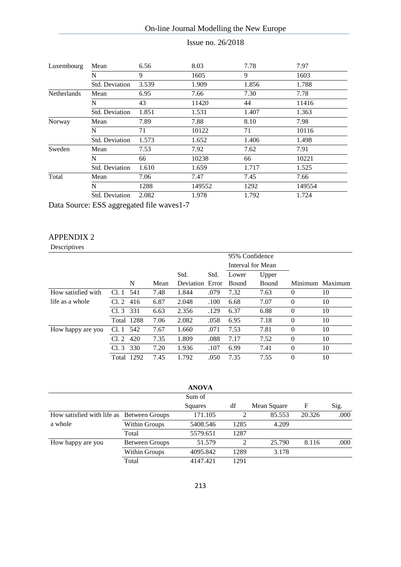Issue no. 26/2018

| Luxembourg         | Mean                  | 6.56  | 8.03   | 7.78  | 7.97   |
|--------------------|-----------------------|-------|--------|-------|--------|
|                    | N                     | 9     | 1605   | 9     | 1603   |
|                    | Std. Deviation        | 3.539 | 1.909  | 1.856 | 1.788  |
| <b>Netherlands</b> | Mean                  | 6.95  | 7.66   | 7.30  | 7.78   |
|                    | N                     | 43    | 11420  | 44    | 11416  |
|                    | <b>Std. Deviation</b> | 1.851 | 1.531  | 1.407 | 1.363  |
| Norway             | Mean                  | 7.89  | 7.88   | 8.10  | 7.98   |
|                    | N                     | 71    | 10122  | 71    | 10116  |
|                    | Std. Deviation        | 1.573 | 1.652  | 1.406 | 1.498  |
| Sweden             | Mean                  | 7.53  | 7.92   | 7.62  | 7.91   |
|                    | N                     | 66    | 10238  | 66    | 10221  |
|                    | <b>Std. Deviation</b> | 1.610 | 1.659  | 1.717 | 1.525  |
| Total              | Mean                  | 7.06  | 7.47   | 7.45  | 7.66   |
|                    | N                     | 1288  | 149552 | 1292  | 149554 |
|                    | <b>Std. Deviation</b> | 2.082 | 1.978  | 1.792 | 1.724  |

Data Source: ESS aggregated file waves1-7

## APPENDIX 2

Descriptives

|                    |            |      |      |           |       | 95% Confidence    |       |          |                 |
|--------------------|------------|------|------|-----------|-------|-------------------|-------|----------|-----------------|
|                    |            |      |      |           |       | Interval for Mean |       |          |                 |
|                    |            |      |      | Std.      | Std.  | Lower             | Upper |          |                 |
|                    |            | N    | Mean | Deviation | Error | <b>Bound</b>      | Bound |          | Minimum Maximum |
| How satisfied with | Cl.1       | 541  | 7.48 | 1.844     | .079  | 7.32              | 7.63  | $\theta$ | 10              |
| life as a whole    | Cl. 2      | 416  | 6.87 | 2.048     | .100  | 6.68              | 7.07  | $\Omega$ | 10              |
|                    | Cl.3       | 331  | 6.63 | 2.356     | .129  | 6.37              | 6.88  | $\theta$ | 10              |
|                    | Total 1288 |      | 7.06 | 2.082     | .058  | 6.95              | 7.18  | $\theta$ | 10              |
| How happy are you  | Cl. 1      | 542  | 7.67 | 1.660     | .071  | 7.53              | 7.81  | $\theta$ | 10              |
|                    | Cl. 2      | 420  | 7.35 | 1.809     | .088  | 7.17              | 7.52  | $\theta$ | 10              |
|                    | Cl.3       | 330  | 7.20 | 1.936     | .107  | 6.99              | 7.41  | $\theta$ | 10              |
|                    | Total      | 1292 | 7.45 | 1.792     | .050  | 7.35              | 7.55  | $\Omega$ | 10              |

|                                           |                       | <b>ANOVA</b> |      |             |        |      |
|-------------------------------------------|-----------------------|--------------|------|-------------|--------|------|
|                                           |                       | Sum of       |      |             |        |      |
|                                           |                       | Squares      | df   | Mean Square | F      | Sig. |
| How satisfied with life as Between Groups |                       | 171.105      |      | 85.553      | 20.326 | .000 |
| a whole                                   | Within Groups         | 5408.546     | 1285 | 4.209       |        |      |
|                                           | Total                 | 5579.651     | 1287 |             |        |      |
| How happy are you                         | <b>Between Groups</b> | 51.579       | 2    | 25.790      | 8.116  | .000 |
|                                           | Within Groups         | 4095.842     | 1289 | 3.178       |        |      |
|                                           | Total                 | 4147.421     | 1291 |             |        |      |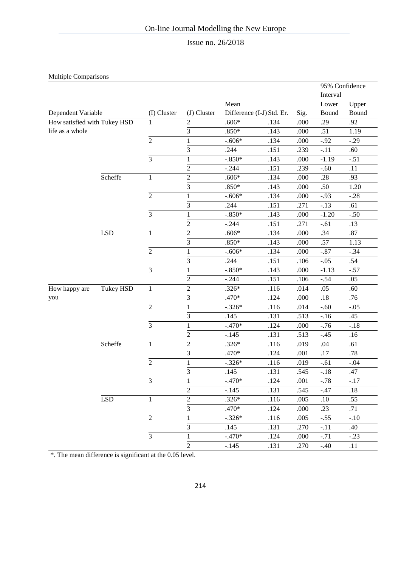## Issue no. 26/2018

Multiple Comparisons

|                              |            |                |                         |          |                           |      | 95% Confidence |        |
|------------------------------|------------|----------------|-------------------------|----------|---------------------------|------|----------------|--------|
|                              |            |                |                         |          |                           |      | Interval       |        |
|                              |            |                |                         | Mean     |                           |      | Lower          | Upper  |
| Dependent Variable           |            | (I) Cluster    | (J) Cluster             |          | Difference (I-J) Std. Er. | Sig. | Bound          | Bound  |
| How satisfied with Tukey HSD |            | 1              | $\mathbf{2}$            | $.606*$  | .134                      | .000 | .29            | .92    |
| life as a whole              |            |                | $\overline{3}$          | $.850*$  | .143                      | .000 | .51            | 1.19   |
|                              |            | $\overline{2}$ | 1                       | $-.606*$ | .134                      | .000 | $-.92$         | $-.29$ |
|                              |            |                | $\overline{3}$          | .244     | .151                      | .239 | $-.11$         | .60    |
|                              |            | 3              | $\mathbf{1}$            | $-.850*$ | .143                      | .000 | $-1.19$        | $-.51$ |
|                              |            |                | $\sqrt{2}$              | $-.244$  | .151                      | .239 | $-.60$         | .11    |
|                              | Scheffe    | $\mathbf{1}$   | $\overline{2}$          | $.606*$  | .134                      | .000 | .28            | .93    |
|                              |            |                | $\overline{3}$          | $.850*$  | .143                      | .000 | .50            | 1.20   |
|                              |            | $\overline{2}$ | $\mathbf{1}$            | $-.606*$ | .134                      | .000 | $-.93$         | $-.28$ |
|                              |            |                | $\overline{3}$          | .244     | .151                      | .271 | $-.13$         | .61    |
|                              |            | $\overline{3}$ | $\mathbf{1}$            | $-.850*$ | .143                      | .000 | $-1.20$        | $-.50$ |
|                              |            |                | $\sqrt{2}$              | $-.244$  | .151                      | .271 | $-.61$         | .13    |
|                              | <b>LSD</b> | 1              | $\sqrt{2}$              | $.606*$  | .134                      | .000 | .34            | .87    |
|                              |            |                | $\overline{3}$          | $.850*$  | .143                      | .000 | .57            | 1.13   |
|                              |            | $\overline{c}$ | $\mathbf{1}$            | $-.606*$ | .134                      | .000 | $-.87$         | $-.34$ |
|                              |            |                | 3                       | .244     | .151                      | .106 | $-.05$         | .54    |
|                              |            | $\overline{3}$ | $\mathbf{1}$            | $-.850*$ | .143                      | .000 | $-1.13$        | $-.57$ |
|                              |            |                | $\overline{2}$          | $-.244$  | .151                      | .106 | $-.54$         | .05    |
| How happy are                | Tukey HSD  | 1              | $\overline{\mathbf{c}}$ | $.326*$  | .116                      | .014 | .05            | .60    |
| you                          |            |                | $\overline{3}$          | .470*    | .124                      | .000 | .18            | .76    |
|                              |            | $\overline{2}$ | $\,1$                   | $-.326*$ | .116                      | .014 | $-.60$         | $-.05$ |
|                              |            |                | 3                       | .145     | .131                      | .513 | $-.16$         | .45    |
|                              |            | $\overline{3}$ | $\mathbf{1}$            | $-.470*$ | .124                      | .000 | $-.76$         | $-.18$ |
|                              |            |                | $\overline{2}$          | $-.145$  | .131                      | .513 | $-.45$         | .16    |
|                              | Scheffe    | $\mathbf{1}$   | $\sqrt{2}$              | $.326*$  | .116                      | .019 | .04            | .61    |
|                              |            |                | 3                       | .470*    | .124                      | .001 | .17            | .78    |
|                              |            | $\overline{2}$ | $\mathbf{1}$            | $-.326*$ | .116                      | .019 | $-.61$         | $-.04$ |
|                              |            |                | 3                       | .145     | .131                      | .545 | $-.18$         | .47    |
|                              |            | 3              | $\mathbf{1}$            | $-.470*$ | .124                      | .001 | $-.78$         | $-.17$ |
|                              |            |                | $\overline{2}$          | $-.145$  | .131                      | .545 | $-.47$         | .18    |
|                              | LSD        | $\mathbf{1}$   | $\overline{2}$          | $.326*$  | .116                      | .005 | $.10\,$        | .55    |
|                              |            |                | $\overline{3}$          | .470*    | .124                      | .000 | .23            | .71    |
|                              |            | $\overline{2}$ | $\mathbf{1}$            | $-.326*$ | .116                      | .005 | $-.55$         | $-.10$ |
|                              |            |                | $\overline{3}$          | .145     | .131                      | .270 | $-.11$         | .40    |
|                              |            | $\overline{3}$ | $\mathbf{1}$            | $-.470*$ | .124                      | .000 | $-.71$         | $-.23$ |
|                              |            |                | $\sqrt{2}$              | $-.145$  | .131                      | .270 | $-.40$         | .11    |

\*. The mean difference is significant at the 0.05 level.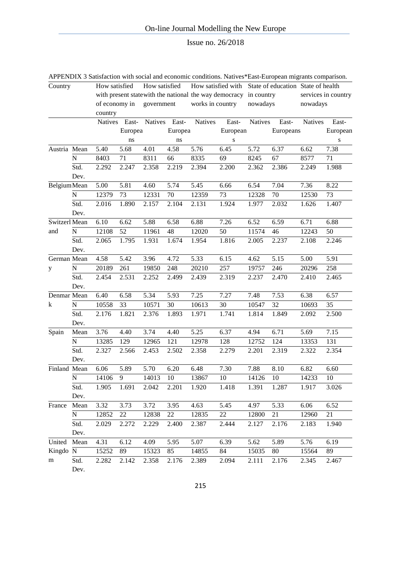|                     |           |                |               |               |               |                  |                                                                   |                | APPENDIX 3 Satisfaction with social and economic conditions. Natives*East-European migrants comparison. |                |                     |
|---------------------|-----------|----------------|---------------|---------------|---------------|------------------|-------------------------------------------------------------------|----------------|---------------------------------------------------------------------------------------------------------|----------------|---------------------|
| Country             |           | How satisfied  |               | How satisfied |               |                  |                                                                   |                | How satisfied with State of education State of health                                                   |                |                     |
|                     |           |                |               |               |               |                  | with present state with the national the way democracy in country |                |                                                                                                         |                | services in country |
|                     |           |                | of economy in | government    |               | works in country |                                                                   | nowadays       |                                                                                                         | nowadays       |                     |
|                     |           | country        |               |               |               |                  |                                                                   |                |                                                                                                         |                |                     |
|                     |           | <b>Natives</b> | East-         |               | Natives East- | <b>Natives</b>   | East-                                                             | <b>Natives</b> | East-                                                                                                   | <b>Natives</b> | East-               |
|                     |           |                | Europea       |               | Europea       |                  | European                                                          |                | Europeans                                                                                               |                | European            |
|                     |           |                | ns            |               | ns            |                  | S                                                                 |                |                                                                                                         |                | S                   |
| Austria Mean        |           | 5.40           | 5.68          | 4.01          | 4.58          | 5.76             | 6.45                                                              | 5.72           | 6.37                                                                                                    | 6.62           | 7.38                |
|                     | N         | 8403           | 71            | 8311          | 66            | 8335             | 69                                                                | 8245           | 67                                                                                                      | 8577           | 71                  |
|                     | Std.      | 2.292          | 2.247         | 2.358         | 2.219         | 2.394            | 2.200                                                             | 2.362          | 2.386                                                                                                   | 2.249          | 1.988               |
|                     | Dev.      |                |               |               |               |                  |                                                                   |                |                                                                                                         |                |                     |
| <b>Belgium</b> Mean |           | 5.00           | 5.81          | 4.60          | 5.74          | 5.45             | 6.66                                                              | 6.54           | 7.04                                                                                                    | 7.36           | 8.22                |
|                     | ${\bf N}$ | 12379          | 73            | 12331         | 70            | 12359            | 73                                                                | 12328          | $70\,$                                                                                                  | 12530          | 73                  |
|                     | Std.      | 2.016          | 1.890         | 2.157         | 2.104         | 2.131            | 1.924                                                             | 1.977          | 2.032                                                                                                   | 1.626          | 1.407               |
|                     | Dev.      |                |               |               |               |                  |                                                                   |                |                                                                                                         |                |                     |
| Switzerl Mean       |           | 6.10           | 6.62          | 5.88          | 6.58          | 6.88             | 7.26                                                              | 6.52           | 6.59                                                                                                    | 6.71           | 6.88                |
| and                 | ${\bf N}$ | 12108          | 52            | 11961         | 48            | 12020            | 50                                                                | 11574          | 46                                                                                                      | 12243          | 50                  |
|                     | Std.      | 2.065          | 1.795         | 1.931         | 1.674         | 1.954            | 1.816                                                             | 2.005          | 2.237                                                                                                   | 2.108          | 2.246               |
|                     | Dev.      |                |               |               |               |                  |                                                                   |                |                                                                                                         |                |                     |
| German Mean         |           | 4.58           | 5.42          | 3.96          | 4.72          | 5.33             | 6.15                                                              | 4.62           | 5.15                                                                                                    | 5.00           | $\overline{5.91}$   |
| y                   | ${\bf N}$ | 20189          | 261           | 19850         | 248           | 20210            | 257                                                               | 19757          | 246                                                                                                     | 20296          | 258                 |
|                     | Std.      | 2.454          | 2.531         | 2.252         | 2.499         | 2.439            | 2.319                                                             | 2.237          | 2.470                                                                                                   | 2.410          | 2.465               |
|                     | Dev.      |                |               |               |               |                  |                                                                   |                |                                                                                                         |                |                     |
| Denmar Mean         |           | 6.40           | 6.58          | 5.34          | 5.93          | 7.25             | 7.27                                                              | 7.48           | 7.53                                                                                                    | 6.38           | 6.57                |
| k                   | N         | 10558          | 33            | 10571         | 30            | 10613            | 30                                                                | 10547          | 32                                                                                                      | 10693          | 35                  |
|                     | Std.      | 2.176          | 1.821         | 2.376         | 1.893         | 1.971            | 1.741                                                             | 1.814          | 1.849                                                                                                   | 2.092          | 2.500               |
|                     | Dev.      |                |               |               |               |                  |                                                                   |                |                                                                                                         |                |                     |
| Spain               | Mean      | 3.76           | 4.40          | 3.74          | 4.40          | 5.25             | 6.37                                                              | 4.94           | 6.71                                                                                                    | 5.69           | 7.15                |
|                     | N         | 13285          | 129           | 12965         | 121           | 12978            | 128                                                               | 12752          | 124                                                                                                     | 13353          | 131                 |
|                     | Std.      | 2.327          | 2.566         | 2.453         | 2.502         | 2.358            | 2.279                                                             | 2.201          | 2.319                                                                                                   | 2.322          | 2.354               |
|                     | Dev.      |                |               |               |               |                  |                                                                   |                |                                                                                                         |                |                     |
| Finland Mean        |           | 6.06           | 5.89          | 5.70          | 6.20          | 6.48             | 7.30                                                              | 7.88           | 8.10                                                                                                    | 6.82           | 6.60                |
|                     | ${\bf N}$ | 14106          | 9.            | 14013         | 10            | 13867            | 10                                                                | 14126          | 10                                                                                                      | 14233          | 10                  |
|                     | Std.      | 1.905          | 1.691         | 2.042         | 2.201         | 1.920            | 1.418                                                             | 1.391          | 1.287                                                                                                   | 1.917          | 3.026               |
|                     | Dev.      |                |               |               |               |                  |                                                                   |                |                                                                                                         |                |                     |
| France              | Mean      | 3.32           | 3.73          | 3.72          | 3.95          | 4.63             | 5.45                                                              | 4.97           | 5.33                                                                                                    | 6.06           | 6.52                |
|                     | N         | 12852          | 22            | 12838         | 22            | 12835            | 22                                                                | 12800          | 21                                                                                                      | 12960          | 21                  |
|                     | Std.      | 2.029          | 2.272         | 2.229         | 2.400         | 2.387            | 2.444                                                             | 2.127          | 2.176                                                                                                   | 2.183          | 1.940               |
|                     | Dev.      |                |               |               |               |                  |                                                                   |                |                                                                                                         |                |                     |
| United              | Mean      | 4.31           | 6.12          | 4.09          | 5.95          | 5.07             | 6.39                                                              | 5.62           | 5.89                                                                                                    | 5.76           | 6.19                |
| Kingdo N            |           | 15252          | 89            | 15323         | 85            | 14855            | 84                                                                | 15035          | 80                                                                                                      | 15564          | 89                  |
| m                   | Std.      | 2.282          | 2.142         | 2.358         | 2.176         | 2.389            | 2.094                                                             | 2.111          | 2.176                                                                                                   | 2.345          | 2.467               |
|                     | Dev.      |                |               |               |               |                  |                                                                   |                |                                                                                                         |                |                     |

215